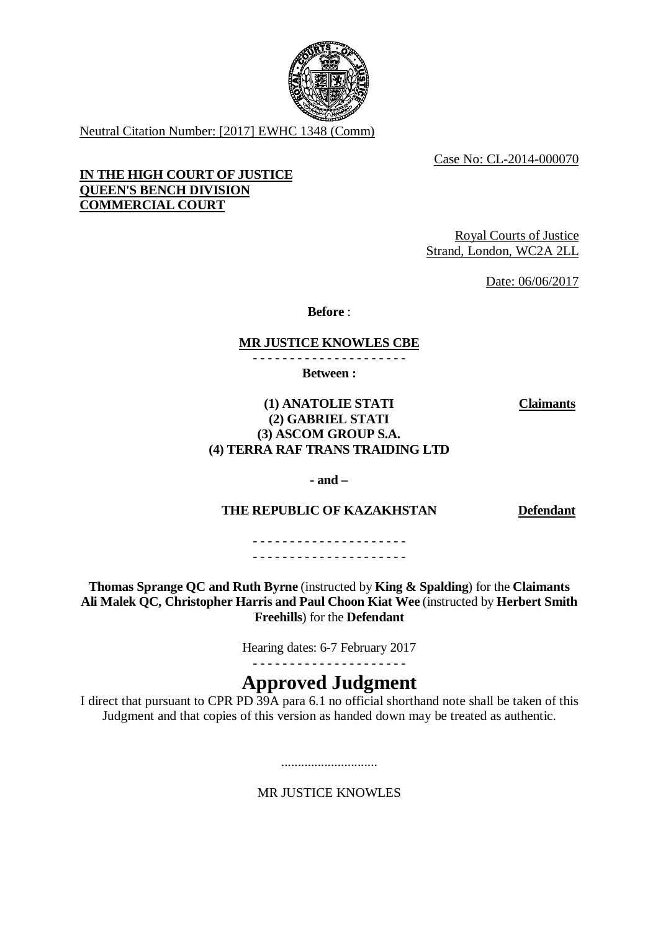

Neutral Citation Number: [2017] EWHC 1348 (Comm)

Case No: CL-2014-000070

## **IN THE HIGH COURT OF JUSTICE QUEEN'S BENCH DIVISION COMMERCIAL COURT**

Royal Courts of Justice Strand, London, WC2A 2LL

Date: 06/06/2017

**Before** :

## **MR JUSTICE KNOWLES CBE**

- - - - - - - - - - - - - - - - - - - - -

**Between :**

**Claimants**

## **(1) ANATOLIE STATI (2) GABRIEL STATI (3) ASCOM GROUP S.A. (4) TERRA RAF TRANS TRAIDING LTD**

**- and –**

## **THE REPUBLIC OF KAZAKHSTAN Defendant**

- - - - - - - - - - - - - - - - - - - - - - - - - - - - - - - - - - - - - - - - - -

**Thomas Sprange QC and Ruth Byrne** (instructed by **King & Spalding**) for the **Claimants Ali Malek QC, Christopher Harris and Paul Choon Kiat Wee** (instructed by **Herbert Smith Freehills**) for the **Defendant**

Hearing dates: 6-7 February 2017

# **Approved Judgment**

I direct that pursuant to CPR PD 39A para 6.1 no official shorthand note shall be taken of this Judgment and that copies of this version as handed down may be treated as authentic.

MR JUSTICE KNOWLES

.............................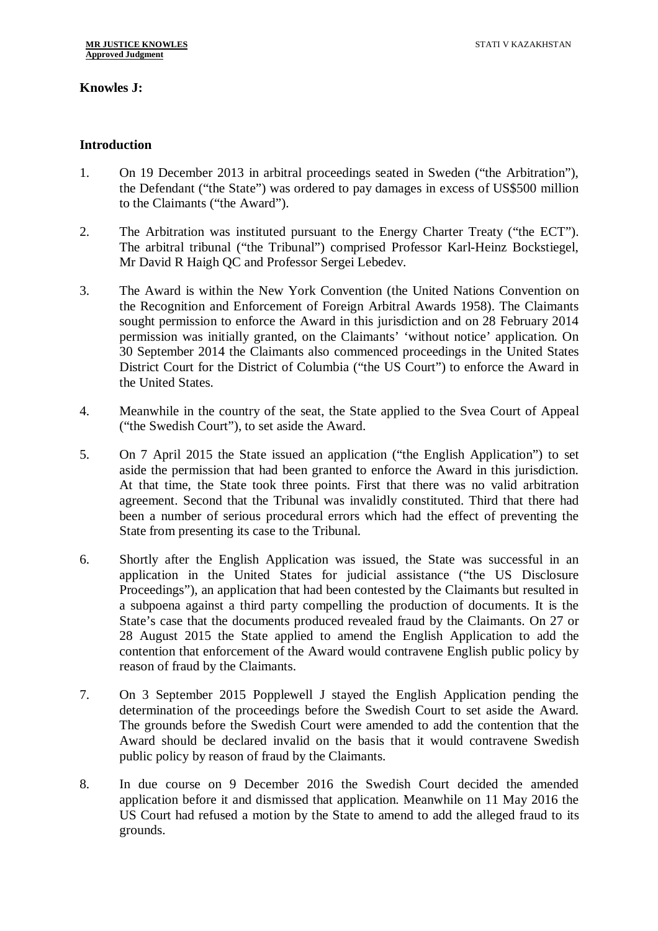## **Knowles J:**

#### **Introduction**

- 1. On 19 December 2013 in arbitral proceedings seated in Sweden ("the Arbitration"), the Defendant ("the State") was ordered to pay damages in excess of US\$500 million to the Claimants ("the Award").
- 2. The Arbitration was instituted pursuant to the Energy Charter Treaty ("the ECT"). The arbitral tribunal ("the Tribunal") comprised Professor Karl-Heinz Bockstiegel, Mr David R Haigh QC and Professor Sergei Lebedev.
- 3. The Award is within the New York Convention (the United Nations Convention on the Recognition and Enforcement of Foreign Arbitral Awards 1958). The Claimants sought permission to enforce the Award in this jurisdiction and on 28 February 2014 permission was initially granted, on the Claimants' 'without notice' application. On 30 September 2014 the Claimants also commenced proceedings in the United States District Court for the District of Columbia ("the US Court") to enforce the Award in the United States.
- 4. Meanwhile in the country of the seat, the State applied to the Svea Court of Appeal ("the Swedish Court"), to set aside the Award.
- 5. On 7 April 2015 the State issued an application ("the English Application") to set aside the permission that had been granted to enforce the Award in this jurisdiction. At that time, the State took three points. First that there was no valid arbitration agreement. Second that the Tribunal was invalidly constituted. Third that there had been a number of serious procedural errors which had the effect of preventing the State from presenting its case to the Tribunal.
- 6. Shortly after the English Application was issued, the State was successful in an application in the United States for judicial assistance ("the US Disclosure Proceedings"), an application that had been contested by the Claimants but resulted in a subpoena against a third party compelling the production of documents. It is the State's case that the documents produced revealed fraud by the Claimants. On 27 or 28 August 2015 the State applied to amend the English Application to add the contention that enforcement of the Award would contravene English public policy by reason of fraud by the Claimants.
- 7. On 3 September 2015 Popplewell J stayed the English Application pending the determination of the proceedings before the Swedish Court to set aside the Award. The grounds before the Swedish Court were amended to add the contention that the Award should be declared invalid on the basis that it would contravene Swedish public policy by reason of fraud by the Claimants.
- 8. In due course on 9 December 2016 the Swedish Court decided the amended application before it and dismissed that application. Meanwhile on 11 May 2016 the US Court had refused a motion by the State to amend to add the alleged fraud to its grounds.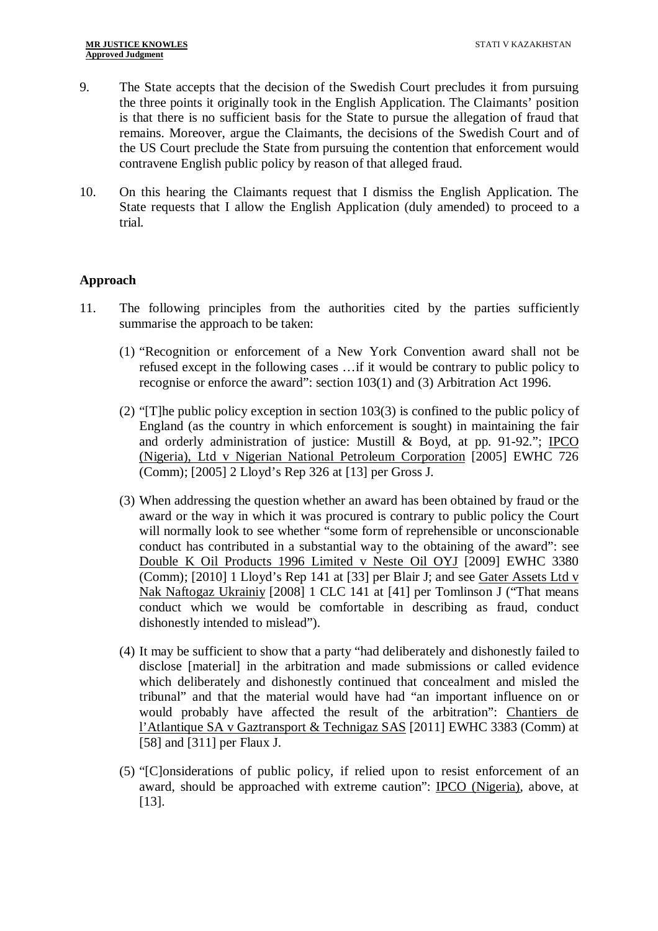- 9. The State accepts that the decision of the Swedish Court precludes it from pursuing the three points it originally took in the English Application. The Claimants' position is that there is no sufficient basis for the State to pursue the allegation of fraud that remains. Moreover, argue the Claimants, the decisions of the Swedish Court and of the US Court preclude the State from pursuing the contention that enforcement would contravene English public policy by reason of that alleged fraud.
- 10. On this hearing the Claimants request that I dismiss the English Application. The State requests that I allow the English Application (duly amended) to proceed to a trial.

## **Approach**

- 11. The following principles from the authorities cited by the parties sufficiently summarise the approach to be taken:
	- (1) "Recognition or enforcement of a New York Convention award shall not be refused except in the following cases …if it would be contrary to public policy to recognise or enforce the award": section 103(1) and (3) Arbitration Act 1996.
	- (2) "[T]he public policy exception in section 103(3) is confined to the public policy of England (as the country in which enforcement is sought) in maintaining the fair and orderly administration of justice: Mustill & Boyd, at pp. 91-92."; IPCO (Nigeria), Ltd v Nigerian National Petroleum Corporation [2005] EWHC 726 (Comm); [2005] 2 Lloyd's Rep 326 at [13] per Gross J.
	- (3) When addressing the question whether an award has been obtained by fraud or the award or the way in which it was procured is contrary to public policy the Court will normally look to see whether "some form of reprehensible or unconscionable conduct has contributed in a substantial way to the obtaining of the award": see Double K Oil Products 1996 Limited v Neste Oil OYJ [2009] EWHC 3380 (Comm); [2010] 1 Lloyd's Rep 141 at [33] per Blair J; and see Gater Assets Ltd v Nak Naftogaz Ukrainiy [2008] 1 CLC 141 at [41] per Tomlinson J ("That means conduct which we would be comfortable in describing as fraud, conduct dishonestly intended to mislead").
	- (4) It may be sufficient to show that a party "had deliberately and dishonestly failed to disclose [material] in the arbitration and made submissions or called evidence which deliberately and dishonestly continued that concealment and misled the tribunal" and that the material would have had "an important influence on or would probably have affected the result of the arbitration": Chantiers de l'Atlantique SA v Gaztransport & Technigaz SAS [2011] EWHC 3383 (Comm) at [58] and [311] per Flaux J.
	- (5) "[C]onsiderations of public policy, if relied upon to resist enforcement of an award, should be approached with extreme caution": IPCO (Nigeria), above, at [13].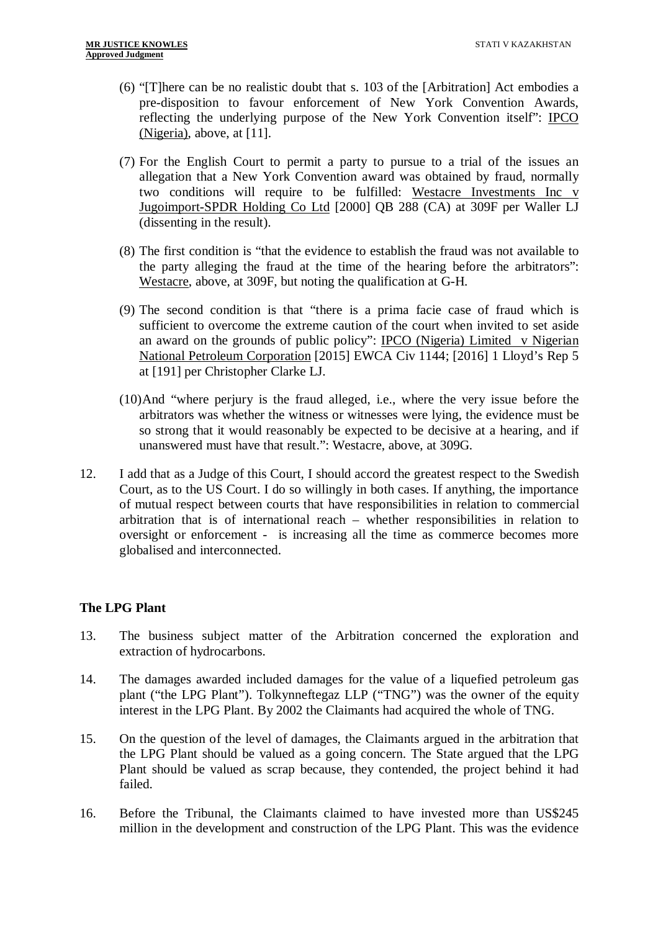- (6) "[T]here can be no realistic doubt that s. 103 of the [Arbitration] Act embodies a pre-disposition to favour enforcement of New York Convention Awards, reflecting the underlying purpose of the New York Convention itself": IPCO (Nigeria), above, at [11].
- (7) For the English Court to permit a party to pursue to a trial of the issues an allegation that a New York Convention award was obtained by fraud, normally two conditions will require to be fulfilled: Westacre Investments Inc v Jugoimport-SPDR Holding Co Ltd [2000] QB 288 (CA) at 309F per Waller LJ (dissenting in the result).
- (8) The first condition is "that the evidence to establish the fraud was not available to the party alleging the fraud at the time of the hearing before the arbitrators": Westacre, above, at 309F, but noting the qualification at G-H.
- (9) The second condition is that "there is a prima facie case of fraud which is sufficient to overcome the extreme caution of the court when invited to set aside an award on the grounds of public policy": IPCO (Nigeria) Limited v Nigerian National Petroleum Corporation [2015] EWCA Civ 1144; [2016] 1 Lloyd's Rep 5 at [191] per Christopher Clarke LJ.
- (10)And "where perjury is the fraud alleged, i.e., where the very issue before the arbitrators was whether the witness or witnesses were lying, the evidence must be so strong that it would reasonably be expected to be decisive at a hearing, and if unanswered must have that result.": Westacre, above, at 309G.
- 12. I add that as a Judge of this Court, I should accord the greatest respect to the Swedish Court, as to the US Court. I do so willingly in both cases. If anything, the importance of mutual respect between courts that have responsibilities in relation to commercial arbitration that is of international reach – whether responsibilities in relation to oversight or enforcement - is increasing all the time as commerce becomes more globalised and interconnected.

## **The LPG Plant**

- 13. The business subject matter of the Arbitration concerned the exploration and extraction of hydrocarbons.
- 14. The damages awarded included damages for the value of a liquefied petroleum gas plant ("the LPG Plant"). Tolkynneftegaz LLP ("TNG") was the owner of the equity interest in the LPG Plant. By 2002 the Claimants had acquired the whole of TNG.
- 15. On the question of the level of damages, the Claimants argued in the arbitration that the LPG Plant should be valued as a going concern. The State argued that the LPG Plant should be valued as scrap because, they contended, the project behind it had failed.
- 16. Before the Tribunal, the Claimants claimed to have invested more than US\$245 million in the development and construction of the LPG Plant. This was the evidence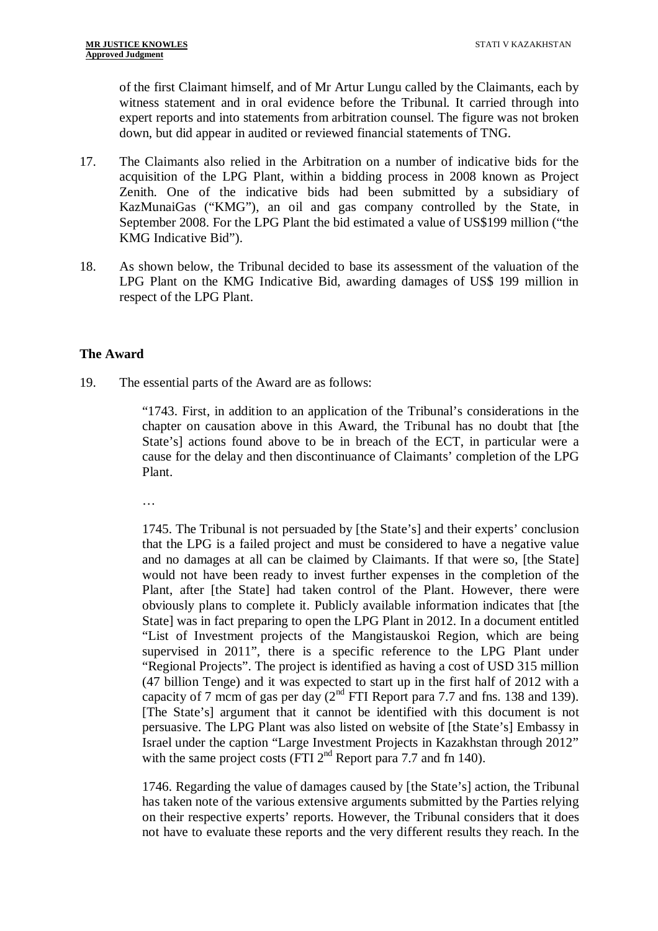of the first Claimant himself, and of Mr Artur Lungu called by the Claimants, each by witness statement and in oral evidence before the Tribunal. It carried through into expert reports and into statements from arbitration counsel. The figure was not broken down, but did appear in audited or reviewed financial statements of TNG.

- 17. The Claimants also relied in the Arbitration on a number of indicative bids for the acquisition of the LPG Plant, within a bidding process in 2008 known as Project Zenith. One of the indicative bids had been submitted by a subsidiary of KazMunaiGas ("KMG"), an oil and gas company controlled by the State, in September 2008. For the LPG Plant the bid estimated a value of US\$199 million ("the KMG Indicative Bid").
- 18. As shown below, the Tribunal decided to base its assessment of the valuation of the LPG Plant on the KMG Indicative Bid, awarding damages of US\$ 199 million in respect of the LPG Plant.

#### **The Award**

19. The essential parts of the Award are as follows:

"1743. First, in addition to an application of the Tribunal's considerations in the chapter on causation above in this Award, the Tribunal has no doubt that [the State's] actions found above to be in breach of the ECT, in particular were a cause for the delay and then discontinuance of Claimants' completion of the LPG Plant.

…

1745. The Tribunal is not persuaded by [the State's] and their experts' conclusion that the LPG is a failed project and must be considered to have a negative value and no damages at all can be claimed by Claimants. If that were so, [the State] would not have been ready to invest further expenses in the completion of the Plant, after [the State] had taken control of the Plant. However, there were obviously plans to complete it. Publicly available information indicates that [the State] was in fact preparing to open the LPG Plant in 2012. In a document entitled "List of Investment projects of the Mangistauskoi Region, which are being supervised in 2011", there is a specific reference to the LPG Plant under "Regional Projects". The project is identified as having a cost of USD 315 million (47 billion Tenge) and it was expected to start up in the first half of 2012 with a capacity of 7 mcm of gas per day  $(2^{nd}$  FTI Report para 7.7 and fns. 138 and 139). [The State's] argument that it cannot be identified with this document is not persuasive. The LPG Plant was also listed on website of [the State's] Embassy in Israel under the caption "Large Investment Projects in Kazakhstan through 2012" with the same project costs (FTI  $2^{nd}$  Report para 7.7 and fn 140).

1746. Regarding the value of damages caused by [the State's] action, the Tribunal has taken note of the various extensive arguments submitted by the Parties relying on their respective experts' reports. However, the Tribunal considers that it does not have to evaluate these reports and the very different results they reach. In the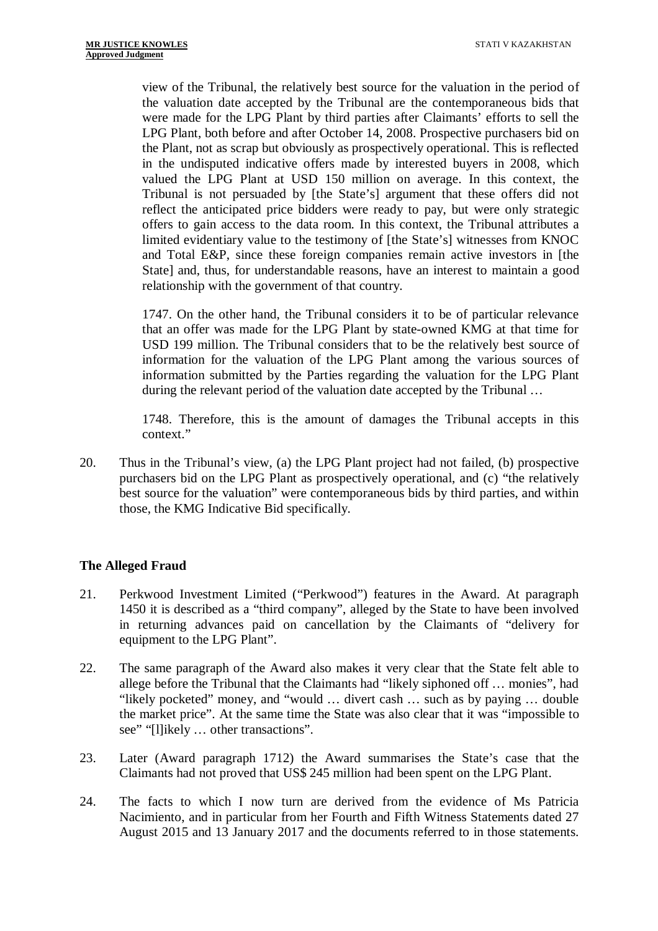view of the Tribunal, the relatively best source for the valuation in the period of the valuation date accepted by the Tribunal are the contemporaneous bids that were made for the LPG Plant by third parties after Claimants' efforts to sell the LPG Plant, both before and after October 14, 2008. Prospective purchasers bid on the Plant, not as scrap but obviously as prospectively operational. This is reflected in the undisputed indicative offers made by interested buyers in 2008, which valued the LPG Plant at USD 150 million on average. In this context, the Tribunal is not persuaded by [the State's] argument that these offers did not reflect the anticipated price bidders were ready to pay, but were only strategic offers to gain access to the data room. In this context, the Tribunal attributes a limited evidentiary value to the testimony of [the State's] witnesses from KNOC and Total E&P, since these foreign companies remain active investors in [the State] and, thus, for understandable reasons, have an interest to maintain a good relationship with the government of that country.

1747. On the other hand, the Tribunal considers it to be of particular relevance that an offer was made for the LPG Plant by state-owned KMG at that time for USD 199 million. The Tribunal considers that to be the relatively best source of information for the valuation of the LPG Plant among the various sources of information submitted by the Parties regarding the valuation for the LPG Plant during the relevant period of the valuation date accepted by the Tribunal …

1748. Therefore, this is the amount of damages the Tribunal accepts in this context."

20. Thus in the Tribunal's view, (a) the LPG Plant project had not failed, (b) prospective purchasers bid on the LPG Plant as prospectively operational, and (c) "the relatively best source for the valuation" were contemporaneous bids by third parties, and within those, the KMG Indicative Bid specifically.

## **The Alleged Fraud**

- 21. Perkwood Investment Limited ("Perkwood") features in the Award. At paragraph 1450 it is described as a "third company", alleged by the State to have been involved in returning advances paid on cancellation by the Claimants of "delivery for equipment to the LPG Plant".
- 22. The same paragraph of the Award also makes it very clear that the State felt able to allege before the Tribunal that the Claimants had "likely siphoned off … monies", had "likely pocketed" money, and "would … divert cash … such as by paying … double the market price". At the same time the State was also clear that it was "impossible to see" "[l]ikely … other transactions".
- 23. Later (Award paragraph 1712) the Award summarises the State's case that the Claimants had not proved that US\$ 245 million had been spent on the LPG Plant.
- 24. The facts to which I now turn are derived from the evidence of Ms Patricia Nacimiento, and in particular from her Fourth and Fifth Witness Statements dated 27 August 2015 and 13 January 2017 and the documents referred to in those statements.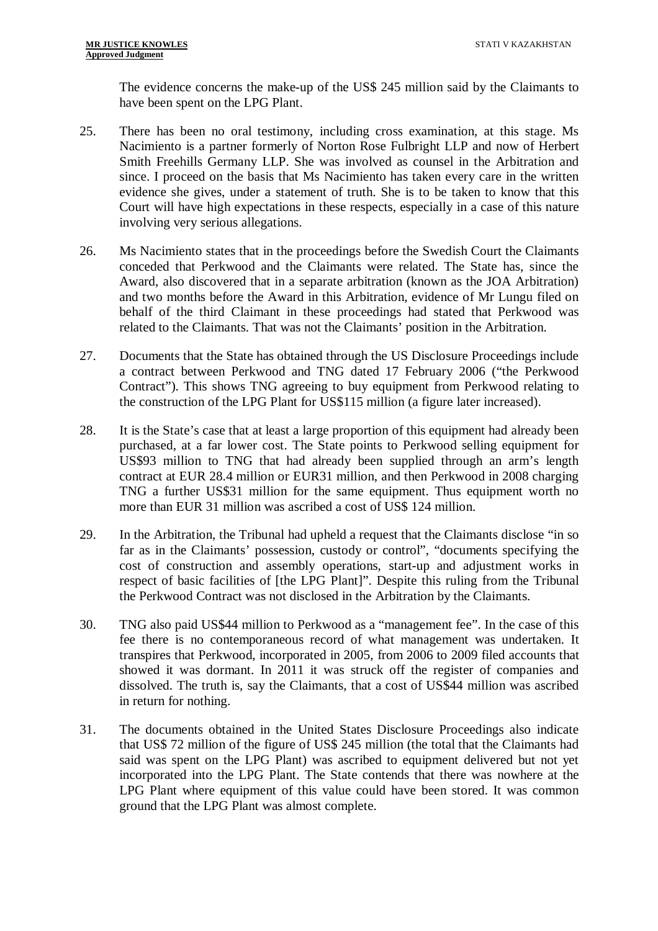The evidence concerns the make-up of the US\$ 245 million said by the Claimants to have been spent on the LPG Plant.

- 25. There has been no oral testimony, including cross examination, at this stage. Ms Nacimiento is a partner formerly of Norton Rose Fulbright LLP and now of Herbert Smith Freehills Germany LLP. She was involved as counsel in the Arbitration and since. I proceed on the basis that Ms Nacimiento has taken every care in the written evidence she gives, under a statement of truth. She is to be taken to know that this Court will have high expectations in these respects, especially in a case of this nature involving very serious allegations.
- 26. Ms Nacimiento states that in the proceedings before the Swedish Court the Claimants conceded that Perkwood and the Claimants were related. The State has, since the Award, also discovered that in a separate arbitration (known as the JOA Arbitration) and two months before the Award in this Arbitration, evidence of Mr Lungu filed on behalf of the third Claimant in these proceedings had stated that Perkwood was related to the Claimants. That was not the Claimants' position in the Arbitration.
- 27. Documents that the State has obtained through the US Disclosure Proceedings include a contract between Perkwood and TNG dated 17 February 2006 ("the Perkwood Contract"). This shows TNG agreeing to buy equipment from Perkwood relating to the construction of the LPG Plant for US\$115 million (a figure later increased).
- 28. It is the State's case that at least a large proportion of this equipment had already been purchased, at a far lower cost. The State points to Perkwood selling equipment for US\$93 million to TNG that had already been supplied through an arm's length contract at EUR 28.4 million or EUR31 million, and then Perkwood in 2008 charging TNG a further US\$31 million for the same equipment. Thus equipment worth no more than EUR 31 million was ascribed a cost of US\$ 124 million.
- 29. In the Arbitration, the Tribunal had upheld a request that the Claimants disclose "in so far as in the Claimants' possession, custody or control", "documents specifying the cost of construction and assembly operations, start-up and adjustment works in respect of basic facilities of [the LPG Plant]". Despite this ruling from the Tribunal the Perkwood Contract was not disclosed in the Arbitration by the Claimants.
- 30. TNG also paid US\$44 million to Perkwood as a "management fee". In the case of this fee there is no contemporaneous record of what management was undertaken. It transpires that Perkwood, incorporated in 2005, from 2006 to 2009 filed accounts that showed it was dormant. In 2011 it was struck off the register of companies and dissolved. The truth is, say the Claimants, that a cost of US\$44 million was ascribed in return for nothing.
- 31. The documents obtained in the United States Disclosure Proceedings also indicate that US\$ 72 million of the figure of US\$ 245 million (the total that the Claimants had said was spent on the LPG Plant) was ascribed to equipment delivered but not yet incorporated into the LPG Plant. The State contends that there was nowhere at the LPG Plant where equipment of this value could have been stored. It was common ground that the LPG Plant was almost complete.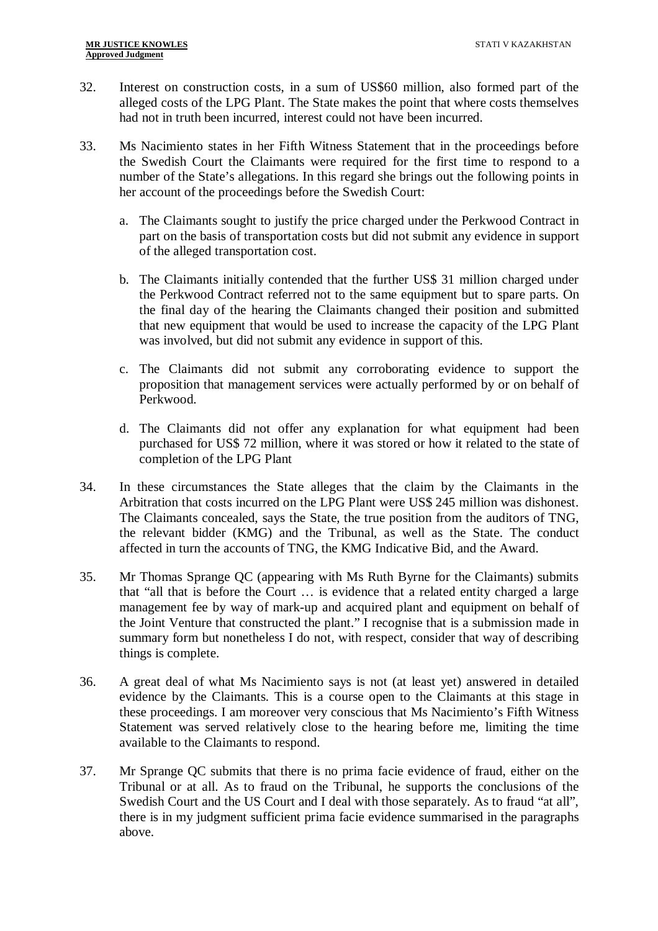- 32. Interest on construction costs, in a sum of US\$60 million, also formed part of the alleged costs of the LPG Plant. The State makes the point that where costs themselves had not in truth been incurred, interest could not have been incurred.
- 33. Ms Nacimiento states in her Fifth Witness Statement that in the proceedings before the Swedish Court the Claimants were required for the first time to respond to a number of the State's allegations. In this regard she brings out the following points in her account of the proceedings before the Swedish Court:
	- a. The Claimants sought to justify the price charged under the Perkwood Contract in part on the basis of transportation costs but did not submit any evidence in support of the alleged transportation cost.
	- b. The Claimants initially contended that the further US\$ 31 million charged under the Perkwood Contract referred not to the same equipment but to spare parts. On the final day of the hearing the Claimants changed their position and submitted that new equipment that would be used to increase the capacity of the LPG Plant was involved, but did not submit any evidence in support of this.
	- c. The Claimants did not submit any corroborating evidence to support the proposition that management services were actually performed by or on behalf of Perkwood.
	- d. The Claimants did not offer any explanation for what equipment had been purchased for US\$ 72 million, where it was stored or how it related to the state of completion of the LPG Plant
- 34. In these circumstances the State alleges that the claim by the Claimants in the Arbitration that costs incurred on the LPG Plant were US\$ 245 million was dishonest. The Claimants concealed, says the State, the true position from the auditors of TNG, the relevant bidder (KMG) and the Tribunal, as well as the State. The conduct affected in turn the accounts of TNG, the KMG Indicative Bid, and the Award.
- 35. Mr Thomas Sprange QC (appearing with Ms Ruth Byrne for the Claimants) submits that "all that is before the Court … is evidence that a related entity charged a large management fee by way of mark-up and acquired plant and equipment on behalf of the Joint Venture that constructed the plant." I recognise that is a submission made in summary form but nonetheless I do not, with respect, consider that way of describing things is complete.
- 36. A great deal of what Ms Nacimiento says is not (at least yet) answered in detailed evidence by the Claimants. This is a course open to the Claimants at this stage in these proceedings. I am moreover very conscious that Ms Nacimiento's Fifth Witness Statement was served relatively close to the hearing before me, limiting the time available to the Claimants to respond.
- 37. Mr Sprange QC submits that there is no prima facie evidence of fraud, either on the Tribunal or at all. As to fraud on the Tribunal, he supports the conclusions of the Swedish Court and the US Court and I deal with those separately. As to fraud "at all", there is in my judgment sufficient prima facie evidence summarised in the paragraphs above.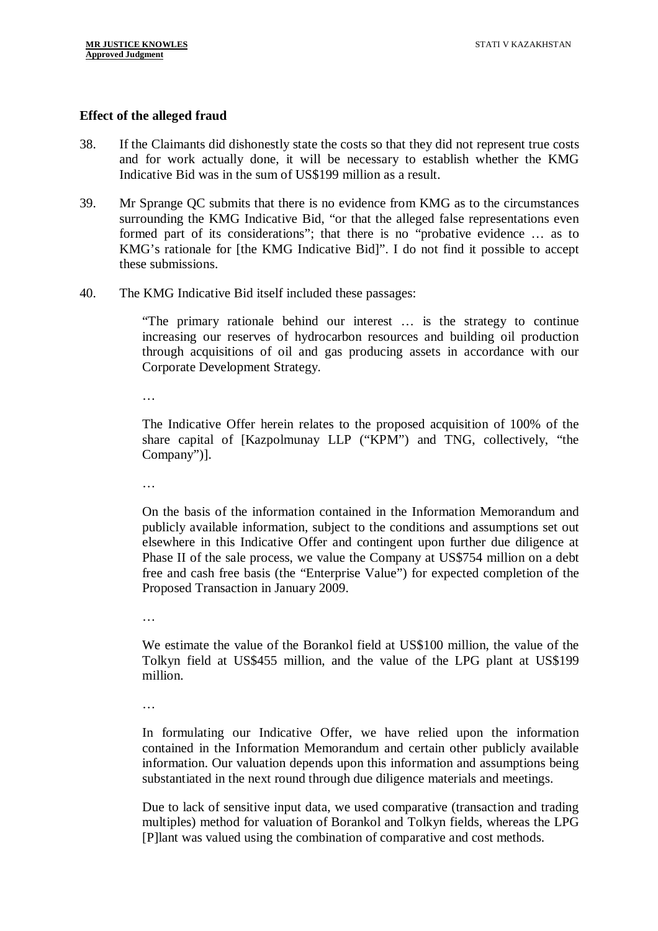#### **Effect of the alleged fraud**

- 38. If the Claimants did dishonestly state the costs so that they did not represent true costs and for work actually done, it will be necessary to establish whether the KMG Indicative Bid was in the sum of US\$199 million as a result.
- 39. Mr Sprange QC submits that there is no evidence from KMG as to the circumstances surrounding the KMG Indicative Bid, "or that the alleged false representations even formed part of its considerations"; that there is no "probative evidence … as to KMG's rationale for [the KMG Indicative Bid]". I do not find it possible to accept these submissions.
- 40. The KMG Indicative Bid itself included these passages:

"The primary rationale behind our interest … is the strategy to continue increasing our reserves of hydrocarbon resources and building oil production through acquisitions of oil and gas producing assets in accordance with our Corporate Development Strategy.

…

The Indicative Offer herein relates to the proposed acquisition of 100% of the share capital of [Kazpolmunay LLP ("KPM") and TNG, collectively, "the Company")].

…

On the basis of the information contained in the Information Memorandum and publicly available information, subject to the conditions and assumptions set out elsewhere in this Indicative Offer and contingent upon further due diligence at Phase II of the sale process, we value the Company at US\$754 million on a debt free and cash free basis (the "Enterprise Value") for expected completion of the Proposed Transaction in January 2009.

…

We estimate the value of the Borankol field at US\$100 million, the value of the Tolkyn field at US\$455 million, and the value of the LPG plant at US\$199 million.

…

In formulating our Indicative Offer, we have relied upon the information contained in the Information Memorandum and certain other publicly available information. Our valuation depends upon this information and assumptions being substantiated in the next round through due diligence materials and meetings.

Due to lack of sensitive input data, we used comparative (transaction and trading multiples) method for valuation of Borankol and Tolkyn fields, whereas the LPG [P]lant was valued using the combination of comparative and cost methods.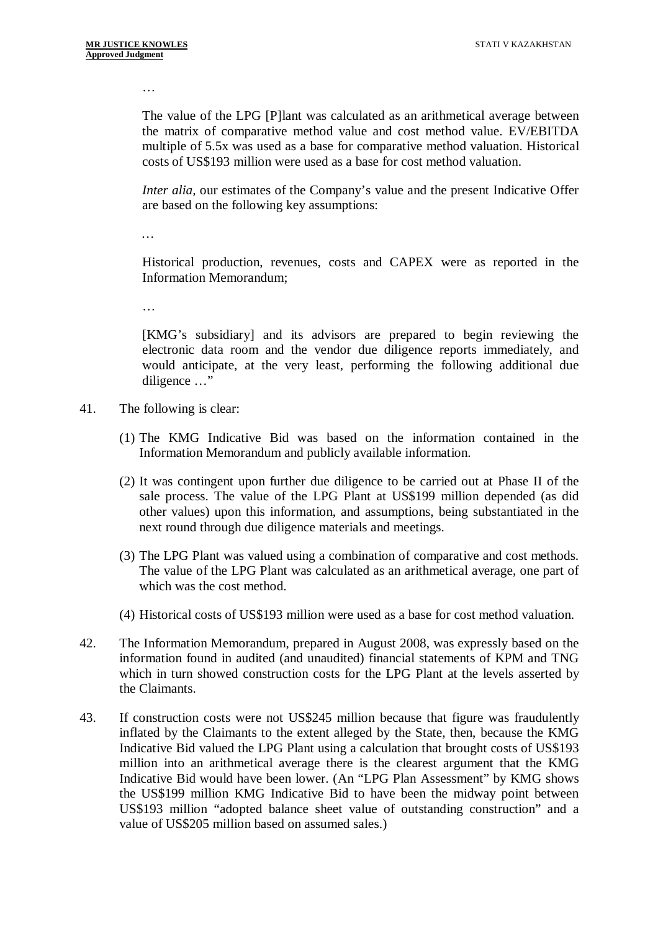…

The value of the LPG [P]lant was calculated as an arithmetical average between the matrix of comparative method value and cost method value. EV/EBITDA multiple of 5.5x was used as a base for comparative method valuation. Historical costs of US\$193 million were used as a base for cost method valuation.

*Inter alia,* our estimates of the Company's value and the present Indicative Offer are based on the following key assumptions:

*…*

Historical production, revenues, costs and CAPEX were as reported in the Information Memorandum;

…

[KMG's subsidiary] and its advisors are prepared to begin reviewing the electronic data room and the vendor due diligence reports immediately, and would anticipate, at the very least, performing the following additional due diligence …"

- 41. The following is clear:
	- (1) The KMG Indicative Bid was based on the information contained in the Information Memorandum and publicly available information.
	- (2) It was contingent upon further due diligence to be carried out at Phase II of the sale process. The value of the LPG Plant at US\$199 million depended (as did other values) upon this information, and assumptions, being substantiated in the next round through due diligence materials and meetings.
	- (3) The LPG Plant was valued using a combination of comparative and cost methods. The value of the LPG Plant was calculated as an arithmetical average, one part of which was the cost method.
	- (4) Historical costs of US\$193 million were used as a base for cost method valuation.
- 42. The Information Memorandum, prepared in August 2008, was expressly based on the information found in audited (and unaudited) financial statements of KPM and TNG which in turn showed construction costs for the LPG Plant at the levels asserted by the Claimants.
- 43. If construction costs were not US\$245 million because that figure was fraudulently inflated by the Claimants to the extent alleged by the State, then, because the KMG Indicative Bid valued the LPG Plant using a calculation that brought costs of US\$193 million into an arithmetical average there is the clearest argument that the KMG Indicative Bid would have been lower. (An "LPG Plan Assessment" by KMG shows the US\$199 million KMG Indicative Bid to have been the midway point between US\$193 million "adopted balance sheet value of outstanding construction" and a value of US\$205 million based on assumed sales.)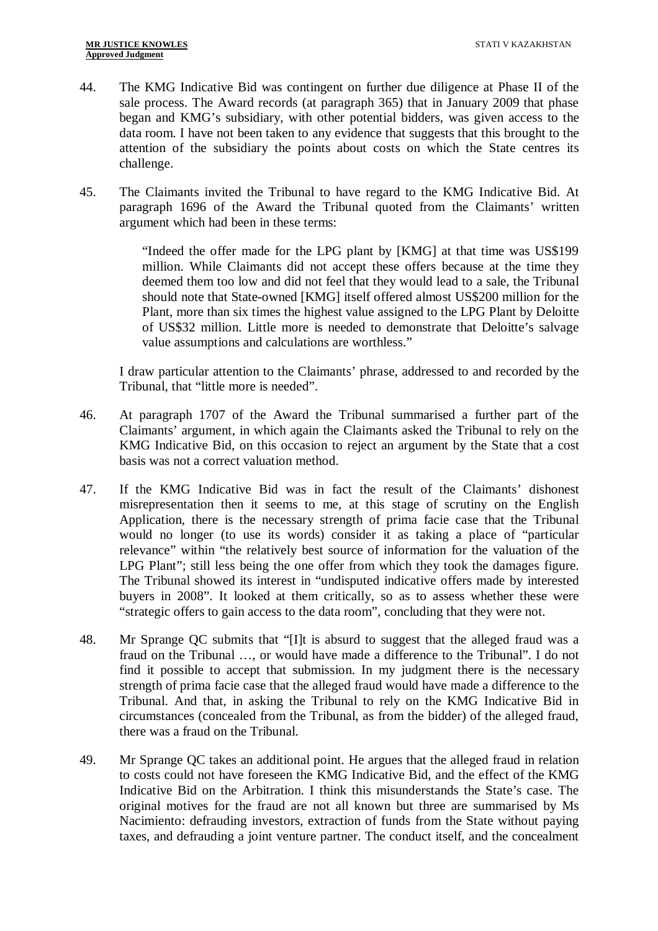- 44. The KMG Indicative Bid was contingent on further due diligence at Phase II of the sale process. The Award records (at paragraph 365) that in January 2009 that phase began and KMG's subsidiary, with other potential bidders, was given access to the data room. I have not been taken to any evidence that suggests that this brought to the attention of the subsidiary the points about costs on which the State centres its challenge.
- 45. The Claimants invited the Tribunal to have regard to the KMG Indicative Bid. At paragraph 1696 of the Award the Tribunal quoted from the Claimants' written argument which had been in these terms:

"Indeed the offer made for the LPG plant by [KMG] at that time was US\$199 million. While Claimants did not accept these offers because at the time they deemed them too low and did not feel that they would lead to a sale, the Tribunal should note that State-owned [KMG] itself offered almost US\$200 million for the Plant, more than six times the highest value assigned to the LPG Plant by Deloitte of US\$32 million. Little more is needed to demonstrate that Deloitte's salvage value assumptions and calculations are worthless."

I draw particular attention to the Claimants' phrase, addressed to and recorded by the Tribunal, that "little more is needed".

- 46. At paragraph 1707 of the Award the Tribunal summarised a further part of the Claimants' argument, in which again the Claimants asked the Tribunal to rely on the KMG Indicative Bid, on this occasion to reject an argument by the State that a cost basis was not a correct valuation method.
- 47. If the KMG Indicative Bid was in fact the result of the Claimants' dishonest misrepresentation then it seems to me, at this stage of scrutiny on the English Application, there is the necessary strength of prima facie case that the Tribunal would no longer (to use its words) consider it as taking a place of "particular relevance" within "the relatively best source of information for the valuation of the LPG Plant"; still less being the one offer from which they took the damages figure. The Tribunal showed its interest in "undisputed indicative offers made by interested buyers in 2008". It looked at them critically, so as to assess whether these were "strategic offers to gain access to the data room", concluding that they were not.
- 48. Mr Sprange QC submits that "[I]t is absurd to suggest that the alleged fraud was a fraud on the Tribunal …, or would have made a difference to the Tribunal". I do not find it possible to accept that submission. In my judgment there is the necessary strength of prima facie case that the alleged fraud would have made a difference to the Tribunal. And that, in asking the Tribunal to rely on the KMG Indicative Bid in circumstances (concealed from the Tribunal, as from the bidder) of the alleged fraud, there was a fraud on the Tribunal.
- 49. Mr Sprange QC takes an additional point. He argues that the alleged fraud in relation to costs could not have foreseen the KMG Indicative Bid, and the effect of the KMG Indicative Bid on the Arbitration. I think this misunderstands the State's case. The original motives for the fraud are not all known but three are summarised by Ms Nacimiento: defrauding investors, extraction of funds from the State without paying taxes, and defrauding a joint venture partner. The conduct itself, and the concealment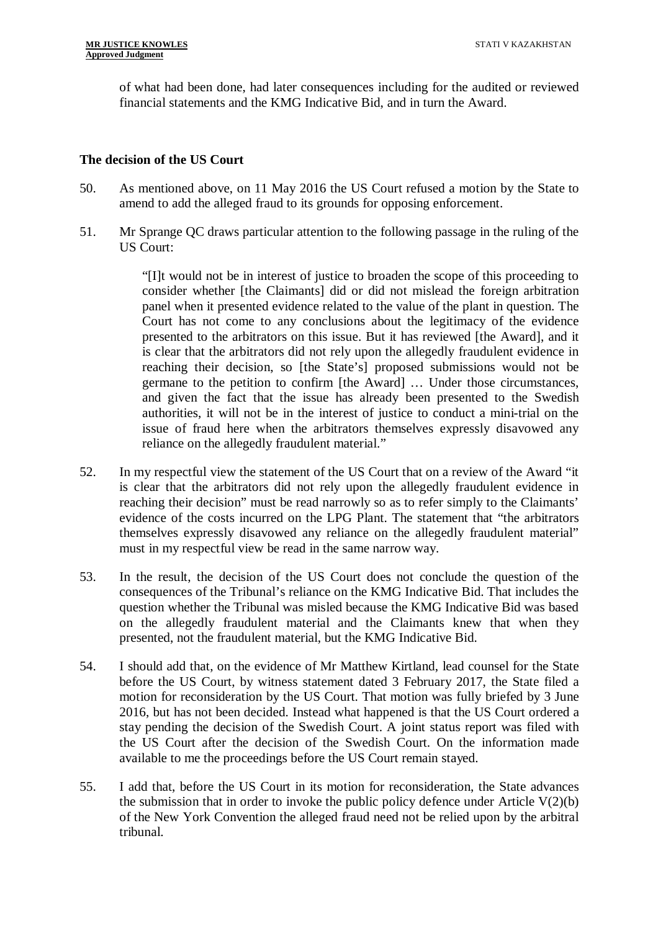of what had been done, had later consequences including for the audited or reviewed financial statements and the KMG Indicative Bid, and in turn the Award.

#### **The decision of the US Court**

- 50. As mentioned above, on 11 May 2016 the US Court refused a motion by the State to amend to add the alleged fraud to its grounds for opposing enforcement.
- 51. Mr Sprange QC draws particular attention to the following passage in the ruling of the US Court:

"[I]t would not be in interest of justice to broaden the scope of this proceeding to consider whether [the Claimants] did or did not mislead the foreign arbitration panel when it presented evidence related to the value of the plant in question. The Court has not come to any conclusions about the legitimacy of the evidence presented to the arbitrators on this issue. But it has reviewed [the Award], and it is clear that the arbitrators did not rely upon the allegedly fraudulent evidence in reaching their decision, so [the State's] proposed submissions would not be germane to the petition to confirm [the Award] … Under those circumstances, and given the fact that the issue has already been presented to the Swedish authorities, it will not be in the interest of justice to conduct a mini-trial on the issue of fraud here when the arbitrators themselves expressly disavowed any reliance on the allegedly fraudulent material."

- 52. In my respectful view the statement of the US Court that on a review of the Award "it is clear that the arbitrators did not rely upon the allegedly fraudulent evidence in reaching their decision" must be read narrowly so as to refer simply to the Claimants' evidence of the costs incurred on the LPG Plant. The statement that "the arbitrators themselves expressly disavowed any reliance on the allegedly fraudulent material" must in my respectful view be read in the same narrow way.
- 53. In the result, the decision of the US Court does not conclude the question of the consequences of the Tribunal's reliance on the KMG Indicative Bid. That includes the question whether the Tribunal was misled because the KMG Indicative Bid was based on the allegedly fraudulent material and the Claimants knew that when they presented, not the fraudulent material, but the KMG Indicative Bid.
- 54. I should add that, on the evidence of Mr Matthew Kirtland, lead counsel for the State before the US Court, by witness statement dated 3 February 2017, the State filed a motion for reconsideration by the US Court. That motion was fully briefed by 3 June 2016, but has not been decided. Instead what happened is that the US Court ordered a stay pending the decision of the Swedish Court. A joint status report was filed with the US Court after the decision of the Swedish Court. On the information made available to me the proceedings before the US Court remain stayed.
- 55. I add that, before the US Court in its motion for reconsideration, the State advances the submission that in order to invoke the public policy defence under Article  $V(2)(b)$ of the New York Convention the alleged fraud need not be relied upon by the arbitral tribunal.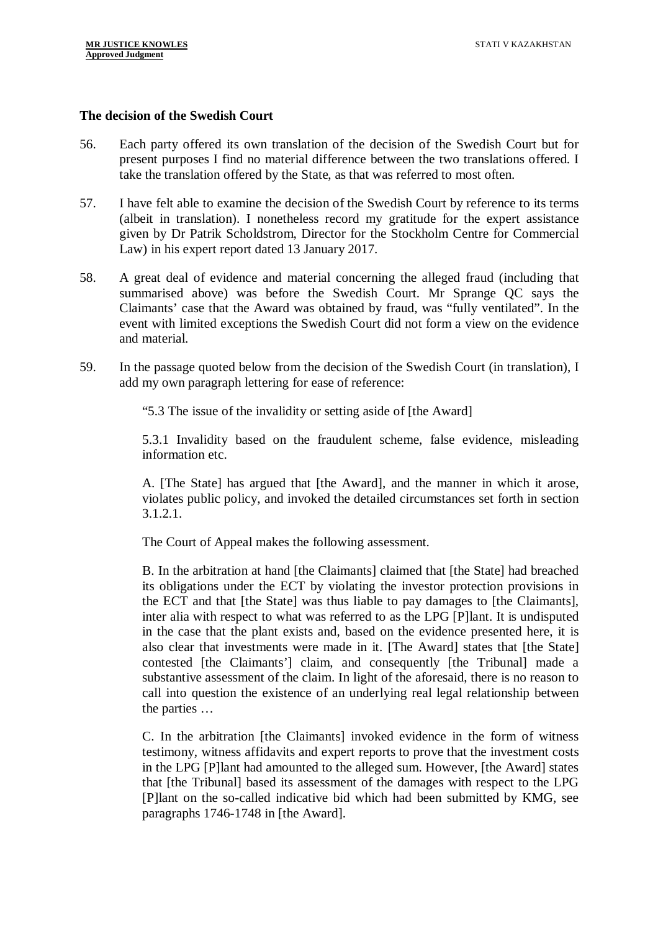#### **The decision of the Swedish Court**

- 56. Each party offered its own translation of the decision of the Swedish Court but for present purposes I find no material difference between the two translations offered. I take the translation offered by the State, as that was referred to most often.
- 57. I have felt able to examine the decision of the Swedish Court by reference to its terms (albeit in translation). I nonetheless record my gratitude for the expert assistance given by Dr Patrik Scholdstrom, Director for the Stockholm Centre for Commercial Law) in his expert report dated 13 January 2017.
- 58. A great deal of evidence and material concerning the alleged fraud (including that summarised above) was before the Swedish Court. Mr Sprange QC says the Claimants' case that the Award was obtained by fraud, was "fully ventilated". In the event with limited exceptions the Swedish Court did not form a view on the evidence and material.
- 59. In the passage quoted below from the decision of the Swedish Court (in translation), I add my own paragraph lettering for ease of reference:

"5.3 The issue of the invalidity or setting aside of [the Award]

5.3.1 Invalidity based on the fraudulent scheme, false evidence, misleading information etc.

A. [The State] has argued that [the Award], and the manner in which it arose, violates public policy, and invoked the detailed circumstances set forth in section 3.1.2.1.

The Court of Appeal makes the following assessment.

B. In the arbitration at hand [the Claimants] claimed that [the State] had breached its obligations under the ECT by violating the investor protection provisions in the ECT and that [the State] was thus liable to pay damages to [the Claimants], inter alia with respect to what was referred to as the LPG [P]lant. It is undisputed in the case that the plant exists and, based on the evidence presented here, it is also clear that investments were made in it. [The Award] states that [the State] contested [the Claimants'] claim, and consequently [the Tribunal] made a substantive assessment of the claim. In light of the aforesaid, there is no reason to call into question the existence of an underlying real legal relationship between the parties …

C. In the arbitration [the Claimants] invoked evidence in the form of witness testimony, witness affidavits and expert reports to prove that the investment costs in the LPG [P]lant had amounted to the alleged sum. However, [the Award] states that [the Tribunal] based its assessment of the damages with respect to the LPG [P]lant on the so-called indicative bid which had been submitted by KMG, see paragraphs 1746-1748 in [the Award].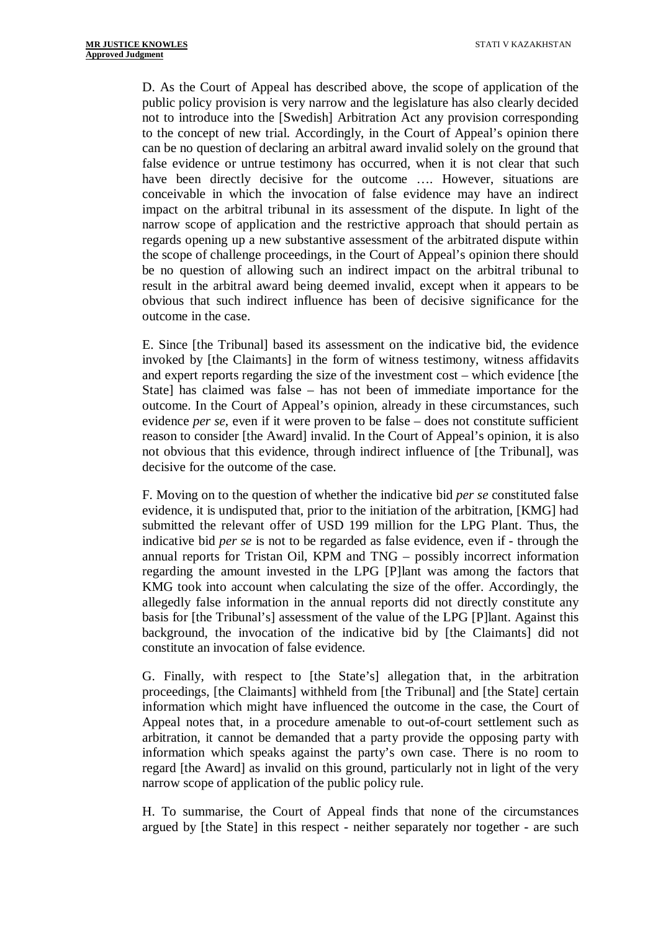D. As the Court of Appeal has described above, the scope of application of the public policy provision is very narrow and the legislature has also clearly decided not to introduce into the [Swedish] Arbitration Act any provision corresponding to the concept of new trial. Accordingly, in the Court of Appeal's opinion there can be no question of declaring an arbitral award invalid solely on the ground that false evidence or untrue testimony has occurred, when it is not clear that such have been directly decisive for the outcome .... However, situations are conceivable in which the invocation of false evidence may have an indirect impact on the arbitral tribunal in its assessment of the dispute. In light of the narrow scope of application and the restrictive approach that should pertain as regards opening up a new substantive assessment of the arbitrated dispute within the scope of challenge proceedings, in the Court of Appeal's opinion there should be no question of allowing such an indirect impact on the arbitral tribunal to result in the arbitral award being deemed invalid, except when it appears to be obvious that such indirect influence has been of decisive significance for the outcome in the case.

E. Since [the Tribunal] based its assessment on the indicative bid, the evidence invoked by [the Claimants] in the form of witness testimony, witness affidavits and expert reports regarding the size of the investment cost – which evidence [the State] has claimed was false – has not been of immediate importance for the outcome. In the Court of Appeal's opinion, already in these circumstances, such evidence *per se*, even if it were proven to be false – does not constitute sufficient reason to consider [the Award] invalid. In the Court of Appeal's opinion, it is also not obvious that this evidence, through indirect influence of [the Tribunal], was decisive for the outcome of the case.

F. Moving on to the question of whether the indicative bid *per se* constituted false evidence, it is undisputed that, prior to the initiation of the arbitration, [KMG] had submitted the relevant offer of USD 199 million for the LPG Plant. Thus, the indicative bid *per se* is not to be regarded as false evidence, even if - through the annual reports for Tristan Oil, KPM and TNG – possibly incorrect information regarding the amount invested in the LPG [P]lant was among the factors that KMG took into account when calculating the size of the offer. Accordingly, the allegedly false information in the annual reports did not directly constitute any basis for [the Tribunal's] assessment of the value of the LPG [P]lant. Against this background, the invocation of the indicative bid by [the Claimants] did not constitute an invocation of false evidence.

G. Finally, with respect to [the State's] allegation that, in the arbitration proceedings, [the Claimants] withheld from [the Tribunal] and [the State] certain information which might have influenced the outcome in the case, the Court of Appeal notes that, in a procedure amenable to out-of-court settlement such as arbitration, it cannot be demanded that a party provide the opposing party with information which speaks against the party's own case. There is no room to regard [the Award] as invalid on this ground, particularly not in light of the very narrow scope of application of the public policy rule.

H. To summarise, the Court of Appeal finds that none of the circumstances argued by [the State] in this respect - neither separately nor together - are such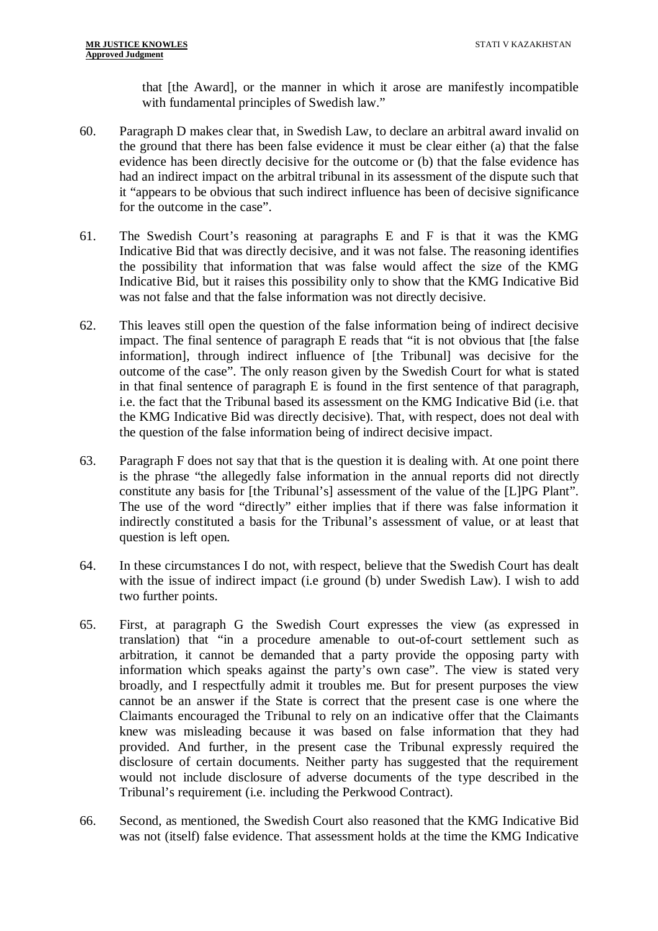that [the Award], or the manner in which it arose are manifestly incompatible with fundamental principles of Swedish law."

- 60. Paragraph D makes clear that, in Swedish Law, to declare an arbitral award invalid on the ground that there has been false evidence it must be clear either (a) that the false evidence has been directly decisive for the outcome or (b) that the false evidence has had an indirect impact on the arbitral tribunal in its assessment of the dispute such that it "appears to be obvious that such indirect influence has been of decisive significance for the outcome in the case".
- 61. The Swedish Court's reasoning at paragraphs E and F is that it was the KMG Indicative Bid that was directly decisive, and it was not false. The reasoning identifies the possibility that information that was false would affect the size of the KMG Indicative Bid, but it raises this possibility only to show that the KMG Indicative Bid was not false and that the false information was not directly decisive.
- 62. This leaves still open the question of the false information being of indirect decisive impact. The final sentence of paragraph E reads that "it is not obvious that [the false information], through indirect influence of [the Tribunal] was decisive for the outcome of the case". The only reason given by the Swedish Court for what is stated in that final sentence of paragraph E is found in the first sentence of that paragraph, i.e. the fact that the Tribunal based its assessment on the KMG Indicative Bid (i.e. that the KMG Indicative Bid was directly decisive). That, with respect, does not deal with the question of the false information being of indirect decisive impact.
- 63. Paragraph F does not say that that is the question it is dealing with. At one point there is the phrase "the allegedly false information in the annual reports did not directly constitute any basis for [the Tribunal's] assessment of the value of the [L]PG Plant". The use of the word "directly" either implies that if there was false information it indirectly constituted a basis for the Tribunal's assessment of value, or at least that question is left open.
- 64. In these circumstances I do not, with respect, believe that the Swedish Court has dealt with the issue of indirect impact (i.e ground (b) under Swedish Law). I wish to add two further points.
- 65. First, at paragraph G the Swedish Court expresses the view (as expressed in translation) that "in a procedure amenable to out-of-court settlement such as arbitration, it cannot be demanded that a party provide the opposing party with information which speaks against the party's own case". The view is stated very broadly, and I respectfully admit it troubles me. But for present purposes the view cannot be an answer if the State is correct that the present case is one where the Claimants encouraged the Tribunal to rely on an indicative offer that the Claimants knew was misleading because it was based on false information that they had provided. And further, in the present case the Tribunal expressly required the disclosure of certain documents. Neither party has suggested that the requirement would not include disclosure of adverse documents of the type described in the Tribunal's requirement (i.e. including the Perkwood Contract).
- 66. Second, as mentioned, the Swedish Court also reasoned that the KMG Indicative Bid was not (itself) false evidence. That assessment holds at the time the KMG Indicative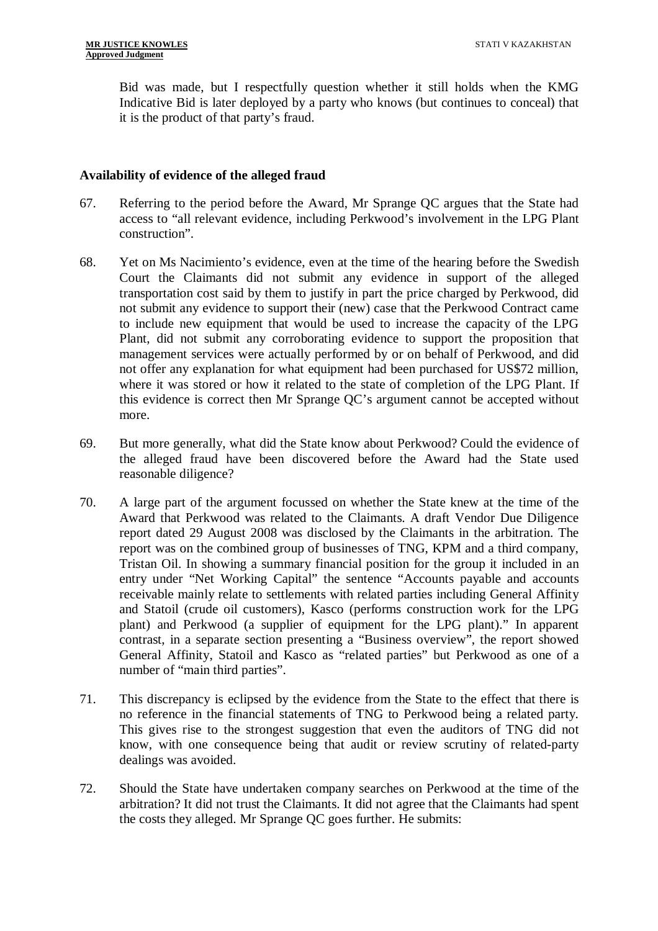Bid was made, but I respectfully question whether it still holds when the KMG Indicative Bid is later deployed by a party who knows (but continues to conceal) that it is the product of that party's fraud.

#### **Availability of evidence of the alleged fraud**

- 67. Referring to the period before the Award, Mr Sprange QC argues that the State had access to "all relevant evidence, including Perkwood's involvement in the LPG Plant construction".
- 68. Yet on Ms Nacimiento's evidence, even at the time of the hearing before the Swedish Court the Claimants did not submit any evidence in support of the alleged transportation cost said by them to justify in part the price charged by Perkwood, did not submit any evidence to support their (new) case that the Perkwood Contract came to include new equipment that would be used to increase the capacity of the LPG Plant, did not submit any corroborating evidence to support the proposition that management services were actually performed by or on behalf of Perkwood, and did not offer any explanation for what equipment had been purchased for US\$72 million, where it was stored or how it related to the state of completion of the LPG Plant. If this evidence is correct then Mr Sprange QC's argument cannot be accepted without more.
- 69. But more generally, what did the State know about Perkwood? Could the evidence of the alleged fraud have been discovered before the Award had the State used reasonable diligence?
- 70. A large part of the argument focussed on whether the State knew at the time of the Award that Perkwood was related to the Claimants. A draft Vendor Due Diligence report dated 29 August 2008 was disclosed by the Claimants in the arbitration. The report was on the combined group of businesses of TNG, KPM and a third company, Tristan Oil. In showing a summary financial position for the group it included in an entry under "Net Working Capital" the sentence "Accounts payable and accounts receivable mainly relate to settlements with related parties including General Affinity and Statoil (crude oil customers), Kasco (performs construction work for the LPG plant) and Perkwood (a supplier of equipment for the LPG plant)." In apparent contrast, in a separate section presenting a "Business overview", the report showed General Affinity, Statoil and Kasco as "related parties" but Perkwood as one of a number of "main third parties".
- 71. This discrepancy is eclipsed by the evidence from the State to the effect that there is no reference in the financial statements of TNG to Perkwood being a related party. This gives rise to the strongest suggestion that even the auditors of TNG did not know, with one consequence being that audit or review scrutiny of related-party dealings was avoided.
- 72. Should the State have undertaken company searches on Perkwood at the time of the arbitration? It did not trust the Claimants. It did not agree that the Claimants had spent the costs they alleged. Mr Sprange QC goes further. He submits: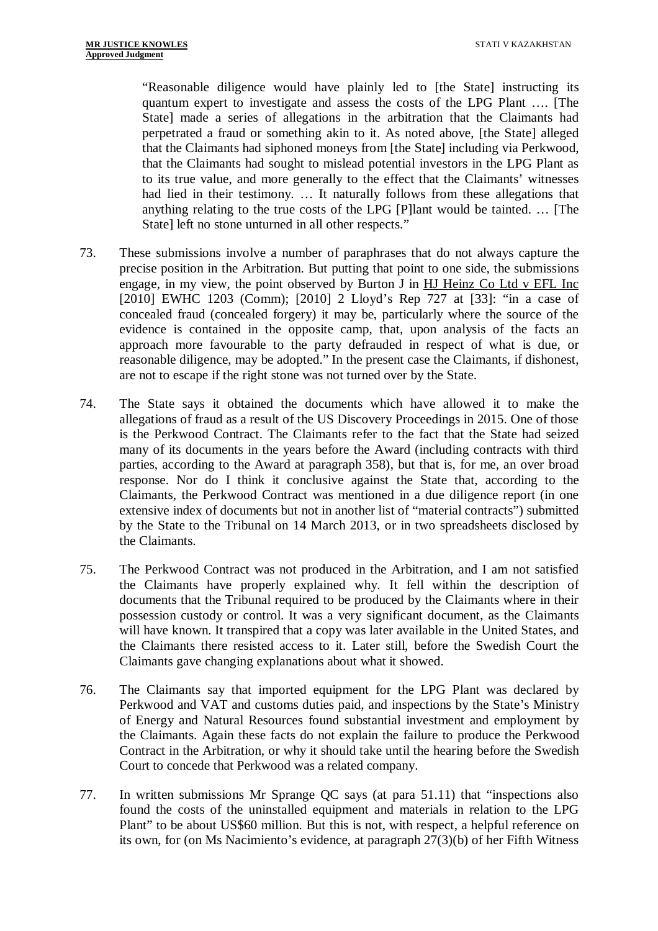"Reasonable diligence would have plainly led to [the State] instructing its quantum expert to investigate and assess the costs of the LPG Plant …. [The State] made a series of allegations in the arbitration that the Claimants had perpetrated a fraud or something akin to it. As noted above, [the State] alleged that the Claimants had siphoned moneys from [the State] including via Perkwood, that the Claimants had sought to mislead potential investors in the LPG Plant as to its true value, and more generally to the effect that the Claimants' witnesses had lied in their testimony. … It naturally follows from these allegations that anything relating to the true costs of the LPG [P]lant would be tainted. … [The State] left no stone unturned in all other respects."

- 73. These submissions involve a number of paraphrases that do not always capture the precise position in the Arbitration. But putting that point to one side, the submissions engage, in my view, the point observed by Burton J in HJ Heinz Co Ltd v EFL Inc [2010] EWHC 1203 (Comm); [2010] 2 Lloyd's Rep 727 at [33]: "in a case of concealed fraud (concealed forgery) it may be, particularly where the source of the evidence is contained in the opposite camp, that, upon analysis of the facts an approach more favourable to the party defrauded in respect of what is due, or reasonable diligence, may be adopted." In the present case the Claimants, if dishonest, are not to escape if the right stone was not turned over by the State.
- 74. The State says it obtained the documents which have allowed it to make the allegations of fraud as a result of the US Discovery Proceedings in 2015. One of those is the Perkwood Contract. The Claimants refer to the fact that the State had seized many of its documents in the years before the Award (including contracts with third parties, according to the Award at paragraph 358), but that is, for me, an over broad response. Nor do I think it conclusive against the State that, according to the Claimants, the Perkwood Contract was mentioned in a due diligence report (in one extensive index of documents but not in another list of "material contracts") submitted by the State to the Tribunal on 14 March 2013, or in two spreadsheets disclosed by the Claimants.
- 75. The Perkwood Contract was not produced in the Arbitration, and I am not satisfied the Claimants have properly explained why. It fell within the description of documents that the Tribunal required to be produced by the Claimants where in their possession custody or control. It was a very significant document, as the Claimants will have known. It transpired that a copy was later available in the United States, and the Claimants there resisted access to it. Later still, before the Swedish Court the Claimants gave changing explanations about what it showed.
- 76. The Claimants say that imported equipment for the LPG Plant was declared by Perkwood and VAT and customs duties paid, and inspections by the State's Ministry of Energy and Natural Resources found substantial investment and employment by the Claimants. Again these facts do not explain the failure to produce the Perkwood Contract in the Arbitration, or why it should take until the hearing before the Swedish Court to concede that Perkwood was a related company.
- 77. In written submissions Mr Sprange QC says (at para 51.11) that "inspections also found the costs of the uninstalled equipment and materials in relation to the LPG Plant" to be about US\$60 million. But this is not, with respect, a helpful reference on its own, for (on Ms Nacimiento's evidence, at paragraph 27(3)(b) of her Fifth Witness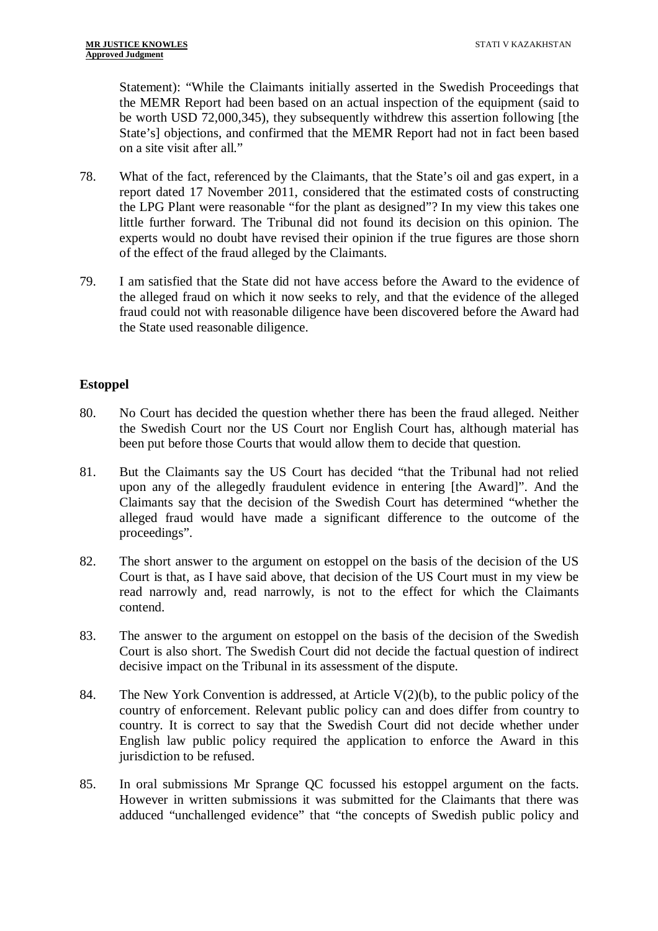Statement): "While the Claimants initially asserted in the Swedish Proceedings that the MEMR Report had been based on an actual inspection of the equipment (said to be worth USD 72,000,345), they subsequently withdrew this assertion following [the State's] objections, and confirmed that the MEMR Report had not in fact been based on a site visit after all."

- 78. What of the fact, referenced by the Claimants, that the State's oil and gas expert, in a report dated 17 November 2011, considered that the estimated costs of constructing the LPG Plant were reasonable "for the plant as designed"? In my view this takes one little further forward. The Tribunal did not found its decision on this opinion. The experts would no doubt have revised their opinion if the true figures are those shorn of the effect of the fraud alleged by the Claimants.
- 79. I am satisfied that the State did not have access before the Award to the evidence of the alleged fraud on which it now seeks to rely, and that the evidence of the alleged fraud could not with reasonable diligence have been discovered before the Award had the State used reasonable diligence.

## **Estoppel**

- 80. No Court has decided the question whether there has been the fraud alleged. Neither the Swedish Court nor the US Court nor English Court has, although material has been put before those Courts that would allow them to decide that question.
- 81. But the Claimants say the US Court has decided "that the Tribunal had not relied upon any of the allegedly fraudulent evidence in entering [the Award]". And the Claimants say that the decision of the Swedish Court has determined "whether the alleged fraud would have made a significant difference to the outcome of the proceedings".
- 82. The short answer to the argument on estoppel on the basis of the decision of the US Court is that, as I have said above, that decision of the US Court must in my view be read narrowly and, read narrowly, is not to the effect for which the Claimants contend.
- 83. The answer to the argument on estoppel on the basis of the decision of the Swedish Court is also short. The Swedish Court did not decide the factual question of indirect decisive impact on the Tribunal in its assessment of the dispute.
- 84. The New York Convention is addressed, at Article V(2)(b), to the public policy of the country of enforcement. Relevant public policy can and does differ from country to country. It is correct to say that the Swedish Court did not decide whether under English law public policy required the application to enforce the Award in this jurisdiction to be refused.
- 85. In oral submissions Mr Sprange QC focussed his estoppel argument on the facts. However in written submissions it was submitted for the Claimants that there was adduced "unchallenged evidence" that "the concepts of Swedish public policy and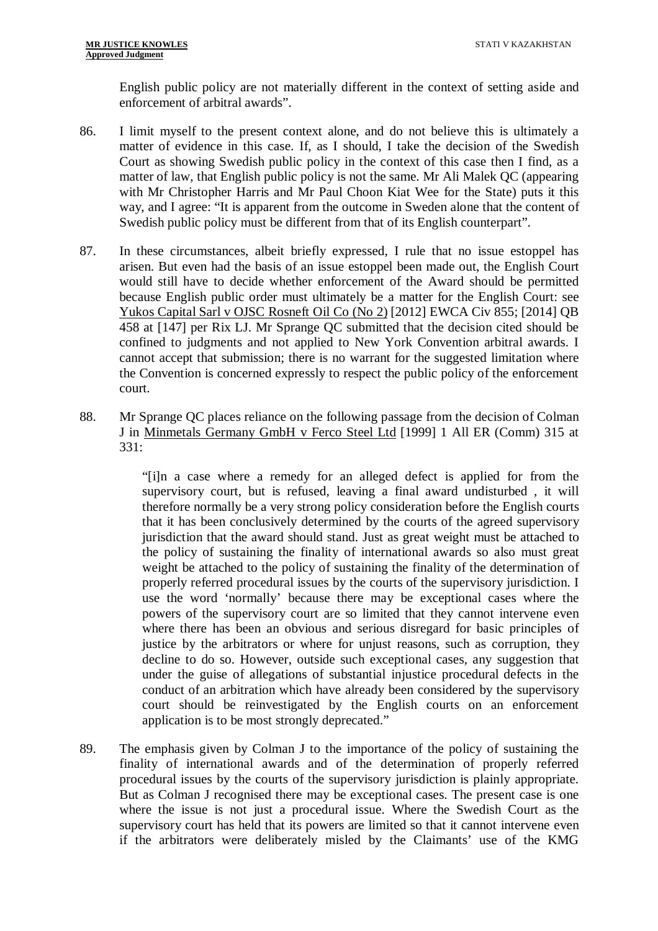English public policy are not materially different in the context of setting aside and enforcement of arbitral awards".

- 86. I limit myself to the present context alone, and do not believe this is ultimately a matter of evidence in this case. If, as I should, I take the decision of the Swedish Court as showing Swedish public policy in the context of this case then I find, as a matter of law, that English public policy is not the same. Mr Ali Malek QC (appearing with Mr Christopher Harris and Mr Paul Choon Kiat Wee for the State) puts it this way, and I agree: "It is apparent from the outcome in Sweden alone that the content of Swedish public policy must be different from that of its English counterpart".
- 87. In these circumstances, albeit briefly expressed, I rule that no issue estoppel has arisen. But even had the basis of an issue estoppel been made out, the English Court would still have to decide whether enforcement of the Award should be permitted because English public order must ultimately be a matter for the English Court: see Yukos Capital Sarl v OJSC Rosneft Oil Co (No 2) [2012] EWCA Civ 855; [2014] QB 458 at [147] per Rix LJ. Mr Sprange QC submitted that the decision cited should be confined to judgments and not applied to New York Convention arbitral awards. I cannot accept that submission; there is no warrant for the suggested limitation where the Convention is concerned expressly to respect the public policy of the enforcement court.
- 88. Mr Sprange QC places reliance on the following passage from the decision of Colman J in Minmetals Germany GmbH v Ferco Steel Ltd [1999] 1 All ER (Comm) 315 at 331:

"[i]n a case where a remedy for an alleged defect is applied for from the supervisory court, but is refused, leaving a final award undisturbed , it will therefore normally be a very strong policy consideration before the English courts that it has been conclusively determined by the courts of the agreed supervisory jurisdiction that the award should stand. Just as great weight must be attached to the policy of sustaining the finality of international awards so also must great weight be attached to the policy of sustaining the finality of the determination of properly referred procedural issues by the courts of the supervisory jurisdiction. I use the word 'normally' because there may be exceptional cases where the powers of the supervisory court are so limited that they cannot intervene even where there has been an obvious and serious disregard for basic principles of justice by the arbitrators or where for unjust reasons, such as corruption, they decline to do so. However, outside such exceptional cases, any suggestion that under the guise of allegations of substantial injustice procedural defects in the conduct of an arbitration which have already been considered by the supervisory court should be reinvestigated by the English courts on an enforcement application is to be most strongly deprecated."

89. The emphasis given by Colman J to the importance of the policy of sustaining the finality of international awards and of the determination of properly referred procedural issues by the courts of the supervisory jurisdiction is plainly appropriate. But as Colman J recognised there may be exceptional cases. The present case is one where the issue is not just a procedural issue. Where the Swedish Court as the supervisory court has held that its powers are limited so that it cannot intervene even if the arbitrators were deliberately misled by the Claimants' use of the KMG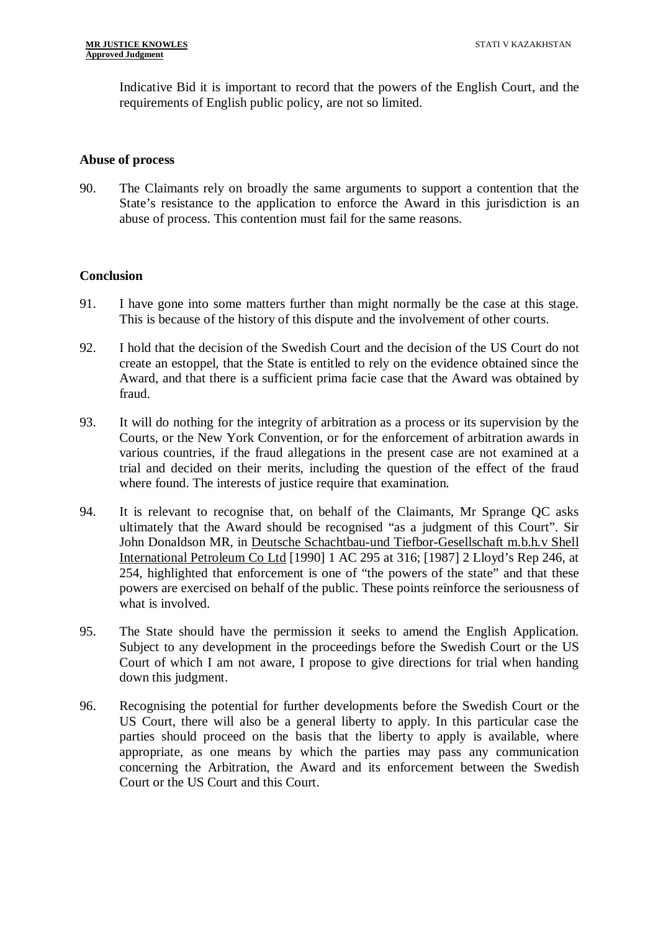Indicative Bid it is important to record that the powers of the English Court, and the requirements of English public policy, are not so limited.

#### **Abuse of process**

90. The Claimants rely on broadly the same arguments to support a contention that the State's resistance to the application to enforce the Award in this jurisdiction is an abuse of process. This contention must fail for the same reasons.

### **Conclusion**

- 91. I have gone into some matters further than might normally be the case at this stage. This is because of the history of this dispute and the involvement of other courts.
- 92. I hold that the decision of the Swedish Court and the decision of the US Court do not create an estoppel, that the State is entitled to rely on the evidence obtained since the Award, and that there is a sufficient prima facie case that the Award was obtained by fraud.
- 93. It will do nothing for the integrity of arbitration as a process or its supervision by the Courts, or the New York Convention, or for the enforcement of arbitration awards in various countries, if the fraud allegations in the present case are not examined at a trial and decided on their merits, including the question of the effect of the fraud where found. The interests of justice require that examination.
- 94. It is relevant to recognise that, on behalf of the Claimants, Mr Sprange QC asks ultimately that the Award should be recognised "as a judgment of this Court". Sir John Donaldson MR, in Deutsche Schachtbau-und Tiefbor-Gesellschaft m.b.h.v Shell International Petroleum Co Ltd [1990] 1 AC 295 at 316; [1987] 2 Lloyd's Rep 246, at 254, highlighted that enforcement is one of "the powers of the state" and that these powers are exercised on behalf of the public. These points reinforce the seriousness of what is involved.
- 95. The State should have the permission it seeks to amend the English Application. Subject to any development in the proceedings before the Swedish Court or the US Court of which I am not aware, I propose to give directions for trial when handing down this judgment.
- 96. Recognising the potential for further developments before the Swedish Court or the US Court, there will also be a general liberty to apply. In this particular case the parties should proceed on the basis that the liberty to apply is available, where appropriate, as one means by which the parties may pass any communication concerning the Arbitration, the Award and its enforcement between the Swedish Court or the US Court and this Court.